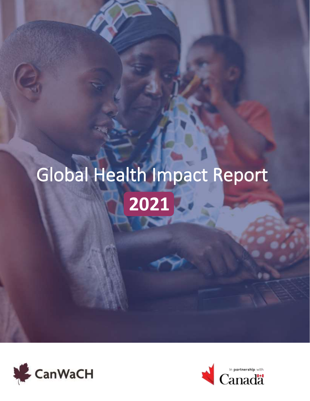# Global Health Impact Report **2021**



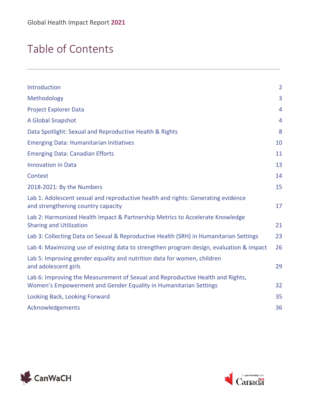### Table of Contents

| Introduction                                                                                                                                       | $\overline{2}$ |
|----------------------------------------------------------------------------------------------------------------------------------------------------|----------------|
| Methodology                                                                                                                                        | 3              |
| <b>Project Explorer Data</b>                                                                                                                       | 4              |
| A Global Snapshot                                                                                                                                  | $\overline{4}$ |
| Data Spotlight: Sexual and Reproductive Health & Rights                                                                                            | 8              |
| <b>Emerging Data: Humanitarian Initiatives</b>                                                                                                     | 10             |
| <b>Emerging Data: Canadian Efforts</b>                                                                                                             | 11             |
| <b>Innovation in Data</b>                                                                                                                          | 13             |
| Context                                                                                                                                            | 14             |
| 2018-2021: By the Numbers                                                                                                                          | 15             |
| Lab 1: Adolescent sexual and reproductive health and rights: Generating evidence<br>and strengthening country capacity                             | 17             |
| Lab 2: Harmonized Health Impact & Partnership Metrics to Accelerate Knowledge<br><b>Sharing and Utilization</b>                                    | 21             |
| Lab 3: Collecting Data on Sexual & Reproductive Health (SRH) in Humanitarian Settings                                                              | 23             |
| Lab 4: Maximizing use of existing data to strengthen program design, evaluation & impact                                                           | 26             |
| Lab 5: Improving gender equality and nutrition data for women, children<br>and adolescent girls                                                    | 29             |
| Lab 6: Improving the Measurement of Sexual and Reproductive Health and Rights,<br>Women's Empowerment and Gender Equality in Humanitarian Settings | 32             |
| Looking Back, Looking Forward                                                                                                                      | 35             |
| Acknowledgements                                                                                                                                   | 36             |
|                                                                                                                                                    |                |



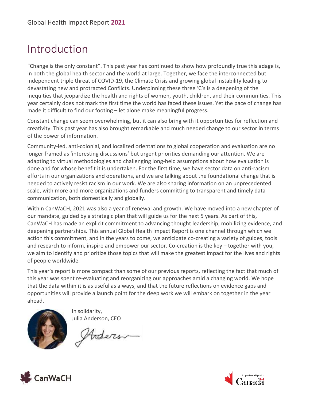### <span id="page-2-0"></span>Introduction

"Change is the only constant". This past year has continued to show how profoundly true this adage is, in both the global health sector and the world at large. Together, we face the interconnected but independent triple threat of COVID-19, the Climate Crisis and growing global instability leading to devastating new and protracted Conflicts. Underpinning these three 'C's is a deepening of the inequities that jeopardize the health and rights of women, youth, children, and their communities. This year certainly does not mark the first time the world has faced these issues. Yet the pace of change has made it difficult to find our footing – let alone make meaningful progress.

Constant change can seem overwhelming, but it can also bring with it opportunities for reflection and creativity. This past year has also brought remarkable and much needed change to our sector in terms of the power of information.

Community-led, anti-colonial, and localized orientations to global cooperation and evaluation are no longer framed as 'interesting discussions' but urgent priorities demanding our attention. We are adapting to virtual methodologies and challenging long-held assumptions about how evaluation is done and for whose benefit it is undertaken. For the first time, we have sector data on anti-racism efforts in our organizations and operations, and we are talking about the foundational change that is needed to actively resist racism in our work. We are also sharing information on an unprecedented scale, with more and more organizations and funders committing to transparent and timely data communication, both domestically and globally.

Within CanWaCH, 2021 was also a year of renewal and growth. We have moved into a new chapter of our mandate, guided by a strategic plan that will guide us for the next 5 years. As part of this, CanWaCH has made an explicit commitment to advancing thought leadership, mobilizing evidence, and deepening partnerships. This annual Global Health Impact Report is one channel through which we action this commitment, and in the years to come, we anticipate co-creating a variety of guides, tools and research to inform, inspire and empower our sector. Co-creation is the key – together with you, we aim to identify and prioritize those topics that will make the greatest impact for the lives and rights of people worldwide.

This year's report is more compact than some of our previous reports, reflecting the fact that much of this year was spent re-evaluating and reorganizing our approaches amid a changing world. We hope that the data within it is as useful as always, and that the future reflections on evidence gaps and opportunities will provide a launch point for the deep work we will embark on together in the year ahead.



In solidarity, Julia Anderson, CEO

Arders



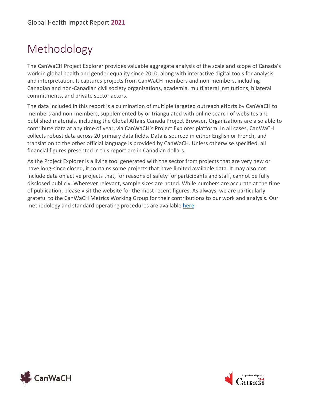# <span id="page-3-0"></span>Methodology

The CanWaCH Project Explorer provides valuable aggregate analysis of the scale and scope of Canada's work in global health and gender equality since 2010, along with interactive digital tools for analysis and interpretation. It captures projects from CanWaCH members and non-members, including Canadian and non-Canadian civil society organizations, academia, multilateral institutions, bilateral commitments, and private sector actors.

The data included in this report is a culmination of multiple targeted outreach efforts by CanWaCH to members and non-members, supplemented by or triangulated with online search of websites and published materials, including the Global Affairs Canada Project Browser. Organizations are also able to contribute data at any time of year, via CanWaCH's Project Explorer platform. In all cases, CanWaCH collects robust data across 20 primary data fields. Data is sourced in either English or French, and translation to the other official language is provided by CanWaCH. Unless otherwise specified, all financial figures presented in this report are in Canadian dollars.

As the Project Explorer is a living tool generated with the sector from projects that are very new or have long-since closed, it contains some projects that have limited available data. It may also not include data on active projects that, for reasons of safety for participants and staff, cannot be fully disclosed publicly. Wherever relevant, sample sizes are noted. While numbers are accurate at the time of publication, please visit the website for the most recent figures. As always, we are particularly grateful to the CanWaCH Metrics Working Group for their contributions to our work and analysis. Our methodology and standard operating procedures are available [here.](https://canwach.ca/data-exchange/methodology-policies-and-standard-operating-procedures/)



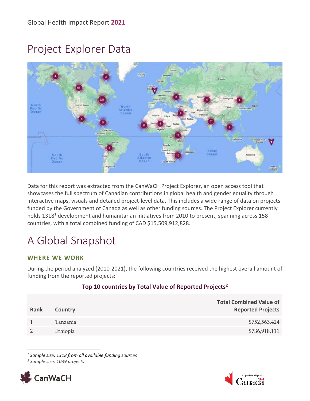### <span id="page-4-0"></span>Project Explorer Data



Data for this report was extracted from the CanWaCH Project Explorer, an open access tool that showcases the full spectrum of Canadian contributions in global health and gender equality through interactive maps, visuals and detailed project-level data. This includes a wide range of data on projects funded by the Government of Canada as well as other funding sources. The Project Explorer currently holds 1318<sup>1</sup> development and humanitarian initiatives from 2010 to present, spanning across 158 countries, with a total combined funding of CAD \$15,509,912,828.

# <span id="page-4-1"></span>A Global Snapshot

#### **WHERE WE WORK**

During the period analyzed (2010-2021), the following countries received the highest overall amount of funding from the reported projects:

#### **Top 10 countries by Total Value of Reported Projects<sup>2</sup>**

| Rank | Country  | <b>Total Combined Value of</b><br><b>Reported Projects</b> |
|------|----------|------------------------------------------------------------|
|      | Tanzania | \$752,563,424                                              |
|      | Ethiopia | \$736,918,111                                              |

*1 Sample size: 1318 from all available funding sources*

*2 Sample size: 1039 projects*



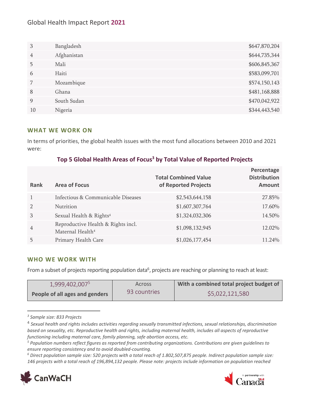#### Global Health Impact Report **2021**

| 3  | Bangladesh  | \$647,870,204 |
|----|-------------|---------------|
| 4  | Afghanistan | \$644,735,344 |
| 5  | Mali        | \$606,845,367 |
| 6  | Haiti       | \$583,099,701 |
|    | Mozambique  | \$574,150,143 |
| 8  | Ghana       | \$481,168,888 |
| 9  | South Sudan | \$470,042,922 |
| 10 | Nigeria     | \$344,443,540 |

#### **WHAT WE WORK ON**

In terms of priorities, the global health issues with the most fund allocations between 2010 and 2021 were:

#### **Top 5 Global Health Areas of Focus<sup>3</sup> by Total Value of Reported Projects**

| Rank          | <b>Area of Focus</b>                                               | <b>Total Combined Value</b><br>of Reported Projects | Percentage<br><b>Distribution</b><br><b>Amount</b> |
|---------------|--------------------------------------------------------------------|-----------------------------------------------------|----------------------------------------------------|
|               | Infectious & Communicable Diseases                                 | \$2,543,644,158                                     | 27.85%                                             |
| $\mathcal{D}$ | <b>Nutrition</b>                                                   | \$1,607,307,764                                     | 17.60%                                             |
| 3             | Sexual Health & Rights <sup>4</sup>                                | \$1,324,032,306                                     | 14.50%                                             |
| 4             | Reproductive Health & Rights incl.<br>Maternal Health <sup>4</sup> | \$1,098,132,945                                     | 12.02%                                             |
|               | Primary Health Care                                                | \$1,026,177,454                                     | 11.24%                                             |

#### **WHO WE WORK WITH**

From a subset of projects reporting population data<sup>6</sup>, projects are reaching or planning to reach at least:

| 1,999,402,007 <sup>5</sup>     | <b>Across</b> | With a combined total project budget of |
|--------------------------------|---------------|-----------------------------------------|
| People of all ages and genders | 93 countries  | \$5,022,121,580                         |

*<sup>3</sup> Sample size: 833 Projects*

*<sup>6</sup> Direct population sample size: 520 projects with a total reach of 1.802,507,875 people. Indirect population sample size: 146 projects with a total reach of 196,894,132 people. Please note: projects include information on population reached* 





<sup>4</sup> *Sexual health and rights includes activities regarding sexually transmitted infections, sexual relationships, discrimination based on sexuality, etc. Reproductive health and rights, including maternal health, includes all aspects of reproductive functioning including maternal care, family planning, safe abortion access, etc.*

*<sup>5</sup> Population numbers reflect figures as reported from contributing organizations. Contributions are given guidelines to ensure reporting consistency and to avoid doubled-counting.*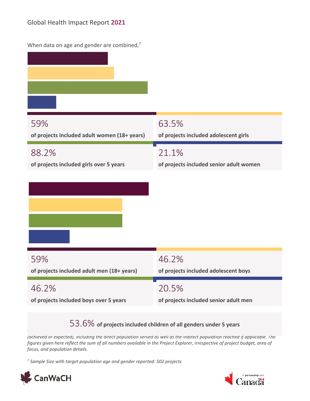| When data on age and gender are combined,7   |                                         |
|----------------------------------------------|-----------------------------------------|
| 59%                                          | 63.5%                                   |
| of projects included adult women (18+ years) | of projects included adolescent girls   |
| 88.2%                                        | 21.1%                                   |
| of projects included girls over 5 years      | of projects included senior adult women |
| 59%                                          | 46.2%                                   |
| of projects included adult men (18+ years)   | of projects included adolescent boys    |
| 46.2%                                        | 20.5%                                   |
| of projects included boys over 5 years       | of projects included senior adult men   |

#### 53.6% **of projects included children of all genders under 5 years**

*(achieved or expected), including the direct population served as well as the indirect population reached if applicable. The figures given here reflect the sum of all numbers available in the Project Explorer, irrespective of project budget, area of focus, and population details.*

*7 Sample Size with target population age and gender reported: 502 projects*



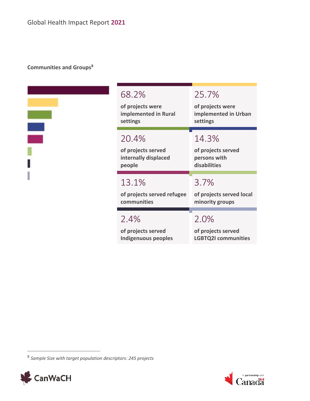#### **Communities and Groups<sup>8</sup>**

| ī       |
|---------|
|         |
|         |
| O)<br>ï |
|         |
| ۰       |
|         |

| 68.2%                      | 25.7%                      |
|----------------------------|----------------------------|
| of projects were           | of projects were           |
| implemented in Rural       | implemented in Urban       |
| settings                   | settings                   |
| 20.4%                      | 14.3%                      |
| of projects served         | of projects served         |
| internally displaced       | persons with               |
| people                     | disabilities               |
| 13.1%                      | 3.7%                       |
| of projects served refugee | of projects served local   |
| communities                | minority groups            |
| 2.4%                       | 2.0%                       |
| of projects served         | of projects served         |
| Indigenuous peoples        | <b>LGBTQ2I communities</b> |

<sup>8</sup> *Sample Size with target population descriptors: 245 projects*



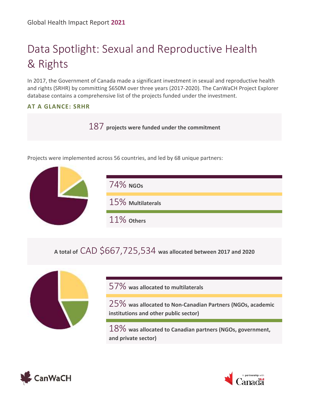# <span id="page-8-0"></span>Data Spotlight: Sexual and Reproductive Health & Rights

In 2017, the Government of Canada made a significant investment in sexual and reproductive health and rights (SRHR) by committing \$650M over three years (2017-2020). The CanWaCH Project Explorer database contains a comprehensive list of the projects funded under the investment.

#### **AT A GLANCE: SRHR**

187 **projects were funded under the commitment**

Projects were implemented across 56 countries, and led by 68 unique partners:



### **A total of** CAD \$667,725,534 **was allocated between 2017 and 2020**



57% **was allocated to multilaterals**

25% **was allocated to Non-Canadian Partners (NGOs, academic institutions and other public sector)**

18% **was allocated to Canadian partners (NGOs, government, and private sector)**



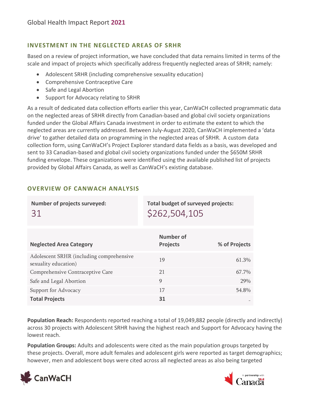#### **INVESTMENT IN THE NEGLECTED AREAS OF SRHR**

Based on a review of project information, we have concluded that data remains limited in terms of the scale and impact of projects which specifically address frequently neglected areas of SRHR; namely:

- Adolescent SRHR (including comprehensive sexuality education)
- Comprehensive Contraceptive Care
- Safe and Legal Abortion
- Support for Advocacy relating to SRHR

As a result of dedicated data collection efforts earlier this year, CanWaCH collected programmatic data on the neglected areas of SRHR directly from Canadian-based and global civil society organizations funded under the Global Affairs Canada investment in order to estimate the extent to which the neglected areas are currently addressed. Between July-August 2020, CanWaCH implemented a 'data drive' to gather detailed data on programming in the neglected areas of SRHR. A custom data collection form, using CanWaCH's Project Explorer standard data fields as a basis, was developed and sent to 33 Canadian-based and global civil society organizations funded under the \$650M SRHR funding envelope. These organizations were identified using the available published list of projects provided by Global Affairs Canada, as well as CanWaCH's existing database.

| <b>Number of projects surveyed:</b><br>31                        | <b>Total budget of surveyed projects:</b><br>\$262,504,105 |               |
|------------------------------------------------------------------|------------------------------------------------------------|---------------|
| <b>Neglected Area Category</b>                                   | Number of<br><b>Projects</b>                               | % of Projects |
| Adolescent SRHR (including comprehensive<br>sexuality education) | 19                                                         | 61.3%         |
| Comprehensive Contraceptive Care                                 | 21                                                         | 67.7%         |
| Safe and Legal Abortion                                          | 9                                                          | 29%           |
| Support for Advocacy                                             | 17                                                         | 54.8%         |
| <b>Total Projects</b>                                            | 31                                                         |               |

#### **OVERVIEW OF CANWACH ANALYSIS**

**Population Reach:** Respondents reported reaching a total of 19,049,882 people (directly and indirectly) across 30 projects with Adolescent SRHR having the highest reach and Support for Advocacy having the lowest reach.

**Population Groups:** Adults and adolescents were cited as the main population groups targeted by these projects. Overall, more adult females and adolescent girls were reported as target demographics; however, men and adolescent boys were cited across all neglected areas as also being targeted



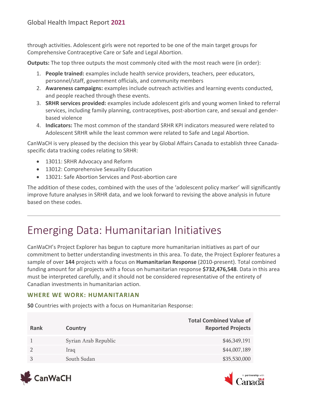through activities. Adolescent girls were not reported to be one of the main target groups for Comprehensive Contraceptive Care or Safe and Legal Abortion.

**Outputs:** The top three outputs the most commonly cited with the most reach were (in order):

- 1. **People trained:** examples include health service providers, teachers, peer educators, personnel/staff, government officials, and community members
- 2. **Awareness campaigns:** examples include outreach activities and learning events conducted, and people reached through these events.
- 3. **SRHR services provided:** examples include adolescent girls and young women linked to referral services, including family planning, contraceptives, post-abortion care, and sexual and genderbased violence
- 4. **Indicators:** The most common of the standard SRHR KPI indicators measured were related to Adolescent SRHR while the least common were related to Safe and Legal Abortion.

CanWaCH is very pleased by the decision this year by Global Affairs Canada to establish three Canadaspecific data tracking codes relating to SRHR:

- 13011: SRHR Advocacy and Reform
- 13012: Comprehensive Sexuality Education
- 13021: Safe Abortion Services and Post-abortion care

The addition of these codes, combined with the uses of the 'adolescent policy marker' will significantly improve future analyses in SRHR data, and we look forward to revising the above analysis in future based on these codes.

### <span id="page-10-0"></span>Emerging Data: Humanitarian Initiatives

CanWaCH's Project Explorer has begun to capture more humanitarian initiatives as part of our commitment to better understanding investments in this area. To date, the Project Explorer features a sample of over **144** projects with a focus on **Humanitarian Response** (2010-present). Total combined funding amount for all projects with a focus on humanitarian response **\$732,476,548**. Data in this area must be interpreted carefully, and it should not be considered representative of the entirety of Canadian investments in humanitarian action.

#### **WHERE WE WORK: HUMANITARIAN**

**50** Countries with projects with a focus on Humanitarian Response:

| Rank | Country              | <b>Total Combined Value of</b><br><b>Reported Projects</b> |
|------|----------------------|------------------------------------------------------------|
|      | Syrian Arab Republic | \$46,349,191                                               |
|      | <b>Iraq</b>          | \$44,007,189                                               |
|      | South Sudan          | \$35,530,000                                               |



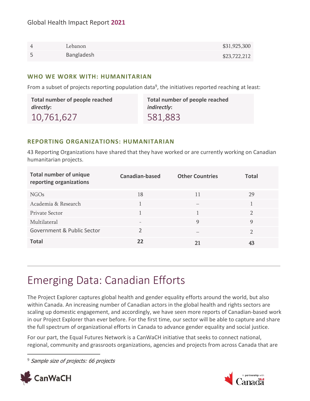| Lebanon    | \$31,925,300 |
|------------|--------------|
| Bangladesh | \$23,722,212 |

#### **WHO WE WORK WITH: HUMANITARIAN**

From a subset of projects reporting population data<sup>9</sup>, the initiatives reported reaching at least:

| Total number of people reached | Total number of people reached |
|--------------------------------|--------------------------------|
| directly:                      | <i>indirectly:</i>             |
| 10,761,627                     | 581,883                        |

#### **REPORTING ORGANIZATIONS: HUMANITARIAN**

43 Reporting Organizations have shared that they have worked or are currently working on Canadian humanitarian projects.

| <b>Total number of unique</b><br>reporting organizations | Canadian-based           | <b>Other Countries</b> | <b>Total</b>  |
|----------------------------------------------------------|--------------------------|------------------------|---------------|
| NGO <sub>s</sub>                                         | 18                       | 11                     | 29            |
| Academia & Research                                      |                          |                        |               |
| Private Sector                                           |                          |                        | $\mathcal{D}$ |
| Multilateral                                             | $\overline{\phantom{0}}$ | 9                      | 9             |
| Government & Public Sector                               | າ                        |                        | റ             |
| <b>Total</b>                                             | 22                       |                        | 43            |

### <span id="page-11-0"></span>Emerging Data: Canadian Efforts

The Project Explorer captures global health and gender equality efforts around the world, but also within Canada. An increasing number of Canadian actors in the global health and rights sectors are scaling up domestic engagement, and accordingly, we have seen more reports of Canadian-based work in our Project Explorer than ever before. For the first time, our sector will be able to capture and share the full spectrum of organizational efforts in Canada to advance gender equality and social justice.

For our part, the Equal Futures Network is a CanWaCH initiative that seeks to connect national, regional, community and grassroots organizations, agencies and projects from across Canada that are

<sup>9</sup> Sample size of projects: 66 projects



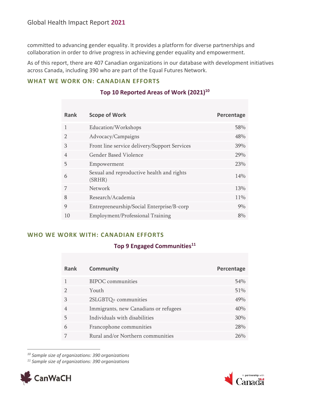committed to advancing gender equality. It provides a platform for diverse partnerships and collaboration in order to drive progress in achieving gender equality and empowerment.

As of this report, there are 407 Canadian organizations in our database with development initiatives across Canada, including 390 who are part of the Equal Futures Network.

#### **WHAT WE WORK ON: CANADIAN EFFORTS**

| <b>Rank</b>    | <b>Scope of Work</b>                                | Percentage |
|----------------|-----------------------------------------------------|------------|
| $\mathbf{1}$   | Education/Workshops                                 | 58%        |
|                | Advocacy/Campaigns                                  | 48%        |
| $\mathcal{B}$  | Front line service delivery/Support Services        | 39%        |
| $\overline{4}$ | Gender Based Violence                               | 29%        |
| 5              | Empowerment                                         | 23%        |
| 6              | Sexual and reproductive health and rights<br>(SRHR) | 14%        |
| 7              | <b>Network</b>                                      | 13%        |
| 8              | Research/Academia                                   | 11\%       |
| 9              | Entrepreneurship/Social Enterprise/B-corp           | $9\%$      |
| 10             | Employment/Professional Training                    | $8\%$      |

#### **Top 10 Reported Areas of Work (2021)<sup>10</sup>**

#### **WHO WE WORK WITH: CANADIAN EFFORTS**

#### **Top 9 Engaged Communities<sup>11</sup>**

| Rank | <b>Community</b>                      | Percentage |
|------|---------------------------------------|------------|
|      | <b>BIPOC</b> communities              | 54%        |
|      | Youth                                 | 51%        |
| 3    | 2SLGBTQ+ communities                  | 49%        |
|      | Immigrants, new Canadians or refugees | 40%        |
| 5    | Individuals with disabilities         | 30%        |
| 6    | Francophone communities               | 28%        |
|      | Rural and/or Northern communities     | 76%        |

*<sup>10</sup> Sample size of organizations: 390 organizations*

*<sup>11</sup> Sample size of organizations: 390 organizations*



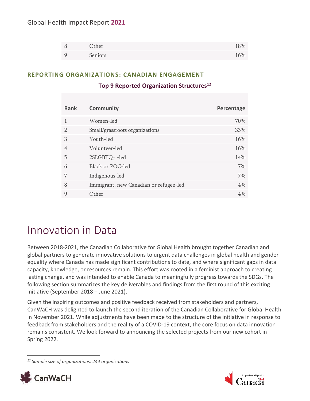#### Global Health Impact Report **2021**

| Other   | 18% |
|---------|-----|
| Seniors | 16% |

#### **REPORTING ORGANIZATIONS: CANADIAN ENGAGEMENT**

#### **Top 9 Reported Organization Structures<sup>12</sup>**

| <b>Rank</b>    | <b>Community</b>                       | Percentage |
|----------------|----------------------------------------|------------|
| 1              | Women-led                              | 70%        |
| $\mathcal{D}$  | Small/grassroots organizations         | 33%        |
| 3              | Youth-led                              | 16%        |
| $\overline{4}$ | Volunteer-led                          | 16%        |
| 5              | 2SLGBTQ+-led                           | 14%        |
| 6              | <b>Black or POC-led</b>                | 7%         |
| 7              | Indigenous-led                         | 7%         |
| 8              | Immigrant, new Canadian or refugee-led | 4%         |
| 9              | Other                                  | 4%         |

### <span id="page-13-0"></span>Innovation in Data

Between 2018-2021, the Canadian Collaborative for Global Health brought together Canadian and global partners to generate innovative solutions to urgent data challenges in global health and gender equality where Canada has made significant contributions to date, and where significant gaps in data capacity, knowledge, or resources remain. This effort was rooted in a feminist approach to creating lasting change, and was intended to enable Canada to meaningfully progress towards the SDGs. The following section summarizes the key deliverables and findings from the first round of this exciting initiative (September 2018 – June 2021).

Given the inspiring outcomes and positive feedback received from stakeholders and partners, CanWaCH was delighted to launch the second iteration of the Canadian Collaborative for Global Health in November 2021. While adjustments have been made to the structure of the initiative in response to feedback from stakeholders and the reality of a COVID-19 context, the core focus on data innovation remains consistent. We look forward to announcing the selected projects from our new cohort in Spring 2022.

*<sup>12</sup> Sample size of organizations: 244 organizations*



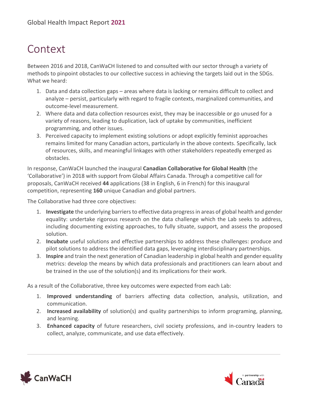### <span id="page-14-0"></span>Context

Between 2016 and 2018, CanWaCH listened to and consulted with our sector through a variety of methods to pinpoint obstacles to our collective success in achieving the targets laid out in the SDGs. What we heard:

- 1. Data and data collection gaps areas where data is lacking or remains difficult to collect and analyze – persist, particularly with regard to fragile contexts, marginalized communities, and outcome-level measurement.
- 2. Where data and data collection resources exist, they may be inaccessible or go unused for a variety of reasons, leading to duplication, lack of uptake by communities, inefficient programming, and other issues.
- 3. Perceived capacity to implement existing solutions or adopt explicitly feminist approaches remains limited for many Canadian actors, particularly in the above contexts. Specifically, lack of resources, skills, and meaningful linkages with other stakeholders repeatedly emerged as obstacles.

In response, CanWaCH launched the inaugural **Canadian Collaborative for Global Health** (the 'Collaborative') in 2018 with support from Global Affairs Canada. Through a competitive call for proposals, CanWaCH received **44** applications (38 in English, 6 in French) for this inaugural competition, representing **160** unique Canadian and global partners.

The Collaborative had three core objectives:

- 1. **Investigate** the underlying barriers to effective data progress in areas of global health and gender equality: undertake rigorous research on the data challenge which the Lab seeks to address, including documenting existing approaches, to fully situate, support, and assess the proposed solution.
- 2. **Incubate** useful solutions and effective partnerships to address these challenges: produce and pilot solutions to address the identified data gaps, leveraging interdisciplinary partnerships.
- 3. **Inspire** and train the next generation of Canadian leadership in global health and gender equality metrics: develop the means by which data professionals and practitioners can learn about and be trained in the use of the solution(s) and its implications for their work.

As a result of the Collaborative, three key outcomes were expected from each Lab:

- 1. **Improved understanding** of barriers affecting data collection, analysis, utilization, and communication.
- 2. **Increased availability** of solution(s) and quality partnerships to inform programing, planning, and learning.
- 3. **Enhanced capacity** of future researchers, civil society professions, and in-country leaders to collect, analyze, communicate, and use data effectively.



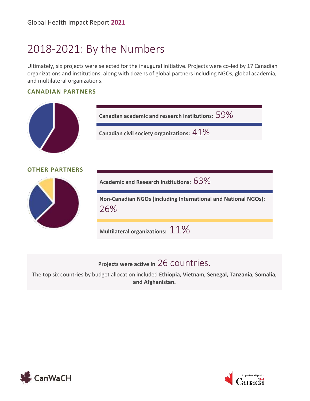### <span id="page-15-0"></span>2018-2021: By the Numbers

Ultimately, six projects were selected for the inaugural initiative. Projects were co-led by 17 Canadian organizations and institutions, along with dozens of global partners including NGOs, global academia, and multilateral organizations.

#### **CANADIAN PARTNERS**



**Projects were active in** 26 countries.

The top six countries by budget allocation included **Ethiopia, Vietnam, Senegal, Tanzania, Somalia, and Afghanistan.**



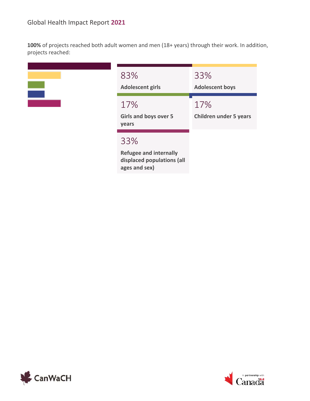**100%** of projects reached both adult women and men (18+ years) through their work. In addition, projects reached:

| 83%           |
|---------------|
| <b>Adoles</b> |
| 17%           |
| $-1$          |

| 83%<br><b>Adolescent girls</b>                                                      | 33%<br><b>Adolescent boys</b>        |
|-------------------------------------------------------------------------------------|--------------------------------------|
| 17%<br><b>Girls and boys over 5</b><br>years                                        | 17%<br><b>Children under 5 years</b> |
| 33%<br><b>Refugee and internally</b><br>displaced populations (all<br>ages and sex) |                                      |



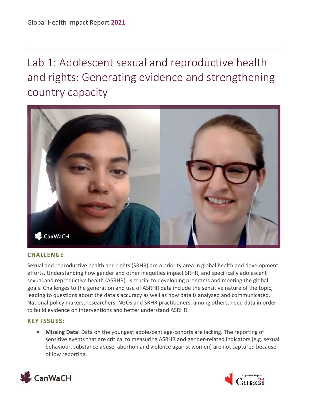<span id="page-17-0"></span>Lab 1: Adolescent sexual and reproductive health and rights: Generating evidence and strengthening country capacity



#### **CHALLENGE**

Sexual and reproductive health and rights (SRHR) are a priority area in global health and development efforts. Understanding how gender and other inequities impact SRHR, and specifically adolescent sexual and reproductive health (ASRHR), is crucial to developing programs and meeting the global goals. Challenges to the generation and use of ASRHR data include the sensitive nature of the topic, leading to questions about the data's accuracy as well as how data is analyzed and communicated. National policy makers, researchers, NGOs and SRHR practitioners, among others, need data in order to build evidence on interventions and better understand ASRHR.

#### **KEY ISSUES:**

• **Missing Data:** Data on the youngest adolescent age-cohorts are lacking. The reporting of sensitive events that are critical to measuring ASRHR and gender-related indicators (e.g. sexual behaviour, substance abuse, abortion and violence against women) are not captured because of low reporting.



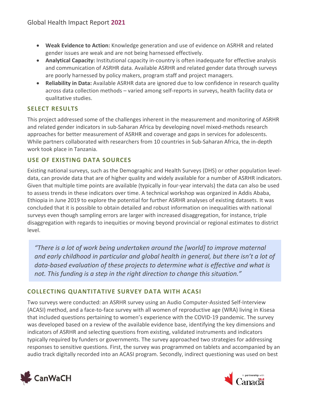- **Weak Evidence to Action:** Knowledge generation and use of evidence on ASRHR and related gender issues are weak and are not being harnessed effectively.
- **Analytical Capacity:** Institutional capacity in-country is often inadequate for effective analysis and communication of ASRHR data. Available ASRHR and related gender data through surveys are poorly harnessed by policy makers, program staff and project managers.
- **Reliability in Data:** Available ASRHR data are ignored due to low confidence in research quality across data collection methods – varied among self-reports in surveys, health facility data or qualitative studies.

#### **SELECT RESULTS**

This project addressed some of the challenges inherent in the measurement and monitoring of ASRHR and related gender indicators in sub-Saharan Africa by developing novel mixed-methods research approaches for better measurement of ASRHR and coverage and gaps in services for adolescents. While partners collaborated with researchers from 10 countries in Sub-Saharan Africa, the in-depth work took place in Tanzania.

#### **USE OF EXISTING DATA SOURCES**

Existing national surveys, such as the Demographic and Health Surveys (DHS) or other population leveldata, can provide data that are of higher quality and widely available for a number of ASRHR indicators. Given that multiple time points are available (typically in four-year intervals) the data can also be used to assess trends in these indicators over time. A technical workshop was organized in Addis Ababa, Ethiopia in June 2019 to explore the potential for further ASRHR analyses of existing datasets. It was concluded that it is possible to obtain detailed and robust information on inequalities with national surveys even though sampling errors are larger with increased disaggregation, for instance, triple disaggregation with regards to inequities or moving beyond provincial or regional estimates to district level.

*"There is a lot of work being undertaken around the [world] to improve maternal and early childhood in particular and global health in general, but there isn't a lot of data-based evaluation of these projects to determine what is effective and what is not. This funding is a step in the right direction to change this situation."*

#### **COLLECTING QUANTITATIVE SURVEY DATA WITH ACASI**

Two surveys were conducted: an ASRHR survey using an Audio Computer-Assisted Self-Interview (ACASI) method, and a face-to-face survey with all women of reproductive age (WRA) living in Kisesa that included questions pertaining to women's experience with the COVID-19 pandemic. The survey was developed based on a review of the available evidence base, identifying the key dimensions and indicators of ASRHR and selecting questions from existing, validated instruments and indicators typically required by funders or governments. The survey approached two strategies for addressing responses to sensitive questions. First, the survey was programmed on tablets and accompanied by an audio track digitally recorded into an ACASI program. Secondly, indirect questioning was used on best



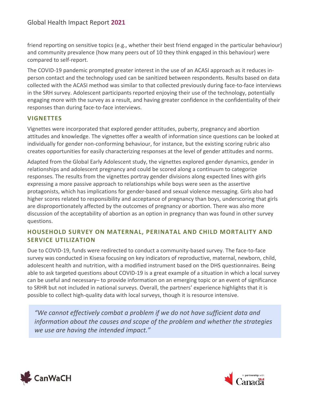friend reporting on sensitive topics (e.g., whether their best friend engaged in the particular behaviour) and community prevalence (how many peers out of 10 they think engaged in this behaviour) were compared to self-report.

The COVID-19 pandemic prompted greater interest in the use of an ACASI approach as it reduces inperson contact and the technology used can be sanitized between respondents. Results based on data collected with the ACASI method was similar to that collected previously during face-to-face interviews in the SRH survey. Adolescent participants reported enjoying their use of the technology, potentially engaging more with the survey as a result, and having greater confidence in the confidentiality of their responses than during face-to-face interviews.

#### **VIGNETTES**

Vignettes were incorporated that explored gender attitudes, puberty, pregnancy and abortion attitudes and knowledge. The vignettes offer a wealth of information since questions can be looked at individually for gender non-conforming behaviour, for instance, but the existing scoring rubric also creates opportunities for easily characterizing responses at the level of gender attitudes and norms.

Adapted from the Global Early Adolescent study, the vignettes explored gender dynamics, gender in relationships and adolescent pregnancy and could be scored along a continuum to categorize responses. The results from the vignettes portray gender divisions along expected lines with girls expressing a more passive approach to relationships while boys were seen as the assertive protagonists, which has implications for gender-based and sexual violence messaging. Girls also had higher scores related to responsibility and acceptance of pregnancy than boys, underscoring that girls are disproportionately affected by the outcomes of pregnancy or abortion. There was also more discussion of the acceptability of abortion as an option in pregnancy than was found in other survey questions.

#### **HOUSEHOLD SURVEY ON MATERNAL, PERINATAL AND CHILD MORTALITY AND SERVICE UTILIZATION**

Due to COVID-19, funds were redirected to conduct a community-based survey. The face-to-face survey was conducted in Kisesa focusing on key indicators of reproductive, maternal, newborn, child, adolescent health and nutrition, with a modified instrument based on the DHS questionnaires. Being able to ask targeted questions about COVID-19 is a great example of a situation in which a local survey can be useful and necessary– to provide information on an emerging topic or an event of significance to SRHR but not included in national surveys. Overall, the partners' experience highlights that it is possible to collect high-quality data with local surveys, though it is resource intensive.

*"We cannot effectively combat a problem if we do not have sufficient data and information about the causes and scope of the problem and whether the strategies we use are having the intended impact."*



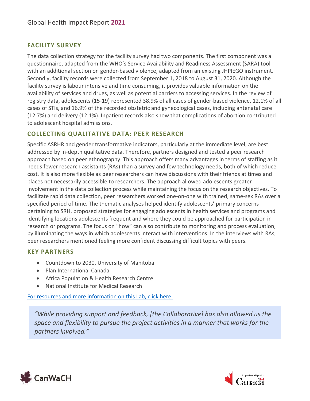#### **FACILITY SURVEY**

The data collection strategy for the facility survey had two components. The first component was a questionnaire, adapted from the WHO's Service Availability and Readiness Assessment (SARA) tool with an additional section on gender-based violence, adapted from an existing JHPIEGO instrument. Secondly, facility records were collected from September 1, 2018 to August 31, 2020. Although the facility survey is labour intensive and time consuming, it provides valuable information on the availability of services and drugs, as well as potential barriers to accessing services. In the review of registry data, adolescents (15-19) represented 38.9% of all cases of gender-based violence, 12.1% of all cases of STIs, and 16.9% of the recorded obstetric and gynecological cases, including antenatal care (12.7%) and delivery (12.1%). Inpatient records also show that complications of abortion contributed to adolescent hospital admissions.

#### **COLLECTING QUALITATIVE DATA: PEER RESEARCH**

Specific ASRHR and gender transformative indicators, particularly at the immediate level, are best addressed by in-depth qualitative data. Therefore, partners designed and tested a peer research approach based on peer ethnography. This approach offers many advantages in terms of staffing as it needs fewer research assistants (RAs) than a survey and few technology needs, both of which reduce cost. It is also more flexible as peer researchers can have discussions with their friends at times and places not necessarily accessible to researchers. The approach allowed adolescents greater involvement in the data collection process while maintaining the focus on the research objectives. To facilitate rapid data collection, peer researchers worked one-on-one with trained, same-sex RAs over a specified period of time. The thematic analyses helped identify adolescents' primary concerns pertaining to SRH, proposed strategies for engaging adolescents in health services and programs and identifying locations adolescents frequent and where they could be approached for participation in research or programs. The focus on "how" can also contribute to monitoring and process evaluation, by illuminating the ways in which adolescents interact with interventions. In the interviews with RAs, peer researchers mentioned feeling more confident discussing difficult topics with peers.

#### **KEY PARTNERS**

- Countdown to 2030, University of Manitoba
- Plan International Canada
- Africa Population & Health Research Centre
- National Institute for Medical Research

[For resources and more information on this Lab, click here.](https://canwach.ca/initiatives/canadian-collaborative-for-global-health/adolescent-sexual-and-reproductive-health-and-rights-generating-evidence-and-strengthening-country-capacity-lab)

*"While providing support and feedback, [the Collaborative] has also allowed us the space and flexibility to pursue the project activities in a manner that works for the partners involved."*



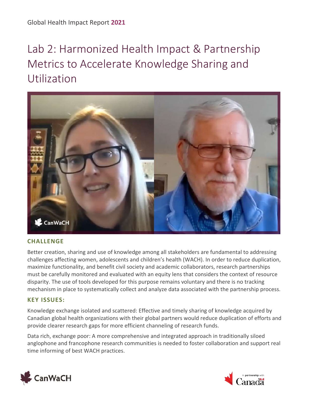# <span id="page-21-0"></span>Lab 2: Harmonized Health Impact & Partnership Metrics to Accelerate Knowledge Sharing and Utilization



#### **CHALLENGE**

Better creation, sharing and use of knowledge among all stakeholders are fundamental to addressing challenges affecting women, adolescents and children's health (WACH). In order to reduce duplication, maximize functionality, and benefit civil society and academic collaborators, research partnerships must be carefully monitored and evaluated with an equity lens that considers the context of resource disparity. The use of tools developed for this purpose remains voluntary and there is no tracking mechanism in place to systematically collect and analyze data associated with the partnership process.

#### **KEY ISSUES:**

Knowledge exchange isolated and scattered: Effective and timely sharing of knowledge acquired by Canadian global health organizations with their global partners would reduce duplication of efforts and provide clearer research gaps for more efficient channeling of research funds.

Data rich, exchange poor: A more comprehensive and integrated approach in traditionally siloed anglophone and francophone research communities is needed to foster collaboration and support real time informing of best WACH practices.



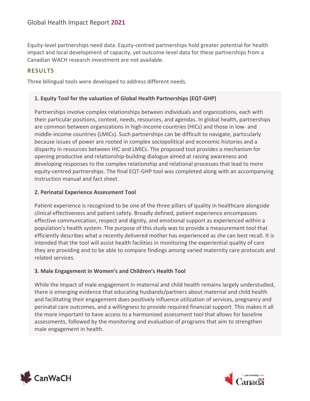Equity-level partnerships need data: Equity-centred partnerships hold greater potential for health impact and local development of capacity, yet outcome-level data for these partnerships from a Canadian WACH research investment are not available.

#### **RESULTS**

Three bilingual tools were developed to address different needs.

#### **1. Equity Tool for the valuation of Global Health Partnerships (EQT-GHP)**

Partnerships involve complex relationships between individuals and organizations, each with their particular positions, context, needs, resources, and agendas. In global health, partnerships are common between organizations in high-income countries (HICs) and those in low- and middle-income countries (LMICs). Such partnerships can be difficult to navigate, particularly because issues of power are rooted in complex sociopolitical and economic histories and a disparity in resources between HIC and LMICs. The proposed tool provides a mechanism for opening productive and relationship-building dialogue aimed at raising awareness and developing responses to the complex relationship and relational processes that lead to more equity-centred partnerships. The final EQT-GHP tool was completed along with an accompanying instruction manual and fact sheet.

#### **2. Perinatal Experience Assessment Tool**

Patient experience is recognized to be one of the three pillars of quality in healthcare alongside clinical effectiveness and patient safety. Broadly defined, patient experience encompasses effective communication, respect and dignity, and emotional support as experienced within a population's health system. The purpose of this study was to provide a measurement tool that efficiently describes what a recently delivered mother has experienced as she can best recall. It is intended that the tool will assist health facilities in monitoring the experiential quality of care they are providing and to be able to compare findings among varied maternity care protocols and related services.

#### **3. Male Engagement in Women's and Children's Health Tool**

While the impact of male engagement in maternal and child health remains largely understudied, there is emerging evidence that educating husbands/partners about maternal and child health and facilitating their engagement does positively influence utilization of services, pregnancy and perinatal care outcomes, and a willingness to provide required financial support. This makes it all the more important to have access to a harmonized assessment tool that allows for baseline assessments, followed by the monitoring and evaluation of programs that aim to strengthen male engagement in health.



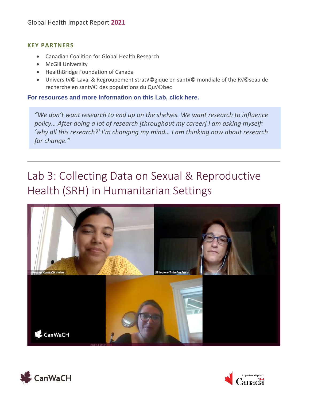#### **KEY PARTNERS**

- Canadian Coalition for Global Health Research
- McGill University
- HealthBridge Foundation of Canada
- Universitv© Laval & Regroupement stratv©gique en santv© mondiale of the Rv©seau de recherche en santV© des populations du QuV©bec

**[For resources and more information on this Lab, click here.](https://canwach.ca/initiatives/canadian-collaborative-for-global-health/harmonized-health-impact-and-research-partnership-metrics-to-accelerate-knowledge-sharing-and-utilization-lab)**

*"We don't want research to end up on the shelves. We want research to influence policy… After doing a lot of research [throughout my career] I am asking myself: 'why all this research?' I'm changing my mind… I am thinking now about research for change."*

# <span id="page-23-0"></span>Lab 3: Collecting Data on Sexual & Reproductive Health (SRH) in Humanitarian Settings





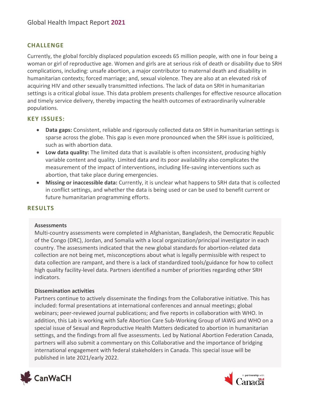#### **CHALLENGE**

Currently, the global forcibly displaced population exceeds 65 million people, with one in four being a woman or girl of reproductive age. Women and girls are at serious risk of death or disability due to SRH complications, including: unsafe abortion, a major contributor to maternal death and disability in humanitarian contexts; forced marriage; and, sexual violence. They are also at an elevated risk of acquiring HIV and other sexually transmitted infections. The lack of data on SRH in humanitarian settings is a critical global issue. This data problem presents challenges for effective resource allocation and timely service delivery, thereby impacting the health outcomes of extraordinarily vulnerable populations.

#### **KEY ISSUES:**

- **Data gaps:** Consistent, reliable and rigorously collected data on SRH in humanitarian settings is sparse across the globe. This gap is even more pronounced when the SRH issue is politicized, such as with abortion data.
- **Low data quality:** The limited data that is available is often inconsistent, producing highly variable content and quality. Limited data and its poor availability also complicates the measurement of the impact of interventions, including life-saving interventions such as abortion, that take place during emergencies.
- **Missing or inaccessible data:** Currently, it is unclear what happens to SRH data that is collected in conflict settings, and whether the data is being used or can be used to benefit current or future humanitarian programming efforts.

#### **RESULTS**

#### **Assessments**

Multi-country assessments were completed in Afghanistan, Bangladesh, the Democratic Republic of the Congo (DRC), Jordan, and Somalia with a local organization/principal investigator in each country. The assessments indicated that the new global standards for abortion-related data collection are not being met, misconceptions about what is legally permissible with respect to data collection are rampant, and there is a lack of standardized tools/guidance for how to collect high quality facility-level data. Partners identified a number of priorities regarding other SRH indicators.

#### **Dissemination activities**

Partners continue to actively disseminate the findings from the Collaborative initiative. This has included: formal presentations at international conferences and annual meetings; global webinars; peer-reviewed journal publications; and five reports in collaboration with WHO. In addition, this Lab is working with Safe Abortion Care Sub-Working Group of IAWG and WHO on a special issue of Sexual and Reproductive Health Matters dedicated to abortion in humanitarian settings, and the findings from all five assessments. Led by National Abortion Federation Canada, partners will also submit a commentary on this Collaborative and the importance of bridging international engagement with federal stakeholders in Canada. This special issue will be published in late 2021/early 2022.



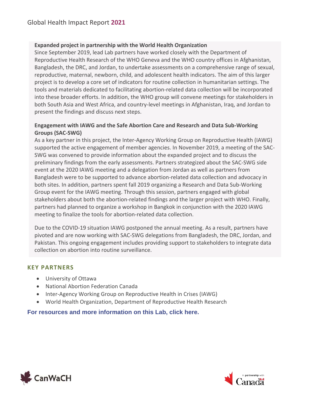#### **Expanded project in partnership with the World Health Organization**

Since September 2019, lead Lab partners have worked closely with the Department of Reproductive Health Research of the WHO Geneva and the WHO country offices in Afghanistan, Bangladesh, the DRC, and Jordan, to undertake assessments on a comprehensive range of sexual, reproductive, maternal, newborn, child, and adolescent health indicators. The aim of this larger project is to develop a core set of indicators for routine collection in humanitarian settings. The tools and materials dedicated to facilitating abortion-related data collection will be incorporated into these broader efforts. In addition, the WHO group will convene meetings for stakeholders in both South Asia and West Africa, and country-level meetings in Afghanistan, Iraq, and Jordan to present the findings and discuss next steps.

#### **Engagement with IAWG and the Safe Abortion Care and Research and Data Sub-Working Groups (SAC-SWG)**

As a key partner in this project, the Inter-Agency Working Group on Reproductive Health (IAWG) supported the active engagement of member agencies. In November 2019, a meeting of the SAC-SWG was convened to provide information about the expanded project and to discuss the preliminary findings from the early assessments. Partners strategized about the SAC-SWG side event at the 2020 IAWG meeting and a delegation from Jordan as well as partners from Bangladesh were to be supported to advance abortion-related data collection and advocacy in both sites. In addition, partners spent fall 2019 organizing a Research and Data Sub-Working Group event for the IAWG meeting. Through this session, partners engaged with global stakeholders about both the abortion-related findings and the larger project with WHO. Finally, partners had planned to organize a workshop in Bangkok in conjunction with the 2020 IAWG meeting to finalize the tools for abortion-related data collection.

Due to the COVID-19 situation IAWG postponed the annual meeting. As a result, partners have pivoted and are now working with SAC-SWG delegations from Bangladesh, the DRC, Jordan, and Pakistan. This ongoing engagement includes providing support to stakeholders to integrate data collection on abortion into routine surveillance.

#### **KEY PARTNERS**

- University of Ottawa
- National Abortion Federation Canada
- Inter-Agency Working Group on Reproductive Health in Crises (IAWG)
- World Health Organization, Department of Reproductive Health Research

**[For resources and more information on this Lab, click here.](https://canwach.ca/initiatives/canadian-collaborative-for-global-health/collecting-data-sexual-and-reproductive-health-humanitarian-settings-lab/)**



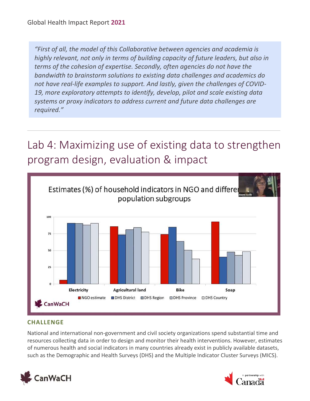*"First of all, the model of this Collaborative between agencies and academia is highly relevant, not only in terms of building capacity of future leaders, but also in terms of the cohesion of expertise. Secondly, often agencies do not have the bandwidth to brainstorm solutions to existing data challenges and academics do not have real-life examples to support. And lastly, given the challenges of COVID-19, more exploratory attempts to identify, develop, pilot and scale existing data systems or proxy indicators to address current and future data challenges are required."*

# <span id="page-26-0"></span>Lab 4: Maximizing use of existing data to strengthen program design, evaluation & impact



#### **CHALLENGE**

National and international non-government and civil society organizations spend substantial time and resources collecting data in order to design and monitor their health interventions. However, estimates of numerous health and social indicators in many countries already exist in publicly available datasets, such as the Demographic and Health Surveys (DHS) and the Multiple Indicator Cluster Surveys (MICS).



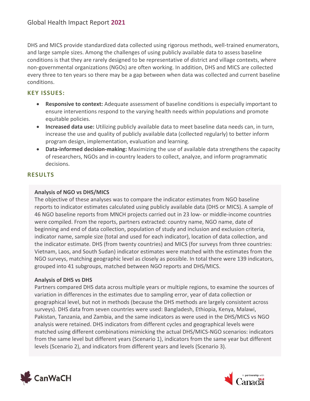DHS and MICS provide standardized data collected using rigorous methods, well-trained enumerators, and large sample sizes. Among the challenges of using publicly available data to assess baseline conditions is that they are rarely designed to be representative of district and village contexts, where non-governmental organizations (NGOs) are often working. In addition, DHS and MICS are collected every three to ten years so there may be a gap between when data was collected and current baseline conditions.

#### **KEY ISSUES:**

- **Responsive to context:** Adequate assessment of baseline conditions is especially important to ensure interventions respond to the varying health needs within populations and promote equitable policies.
- **Increased data use:** Utilizing publicly available data to meet baseline data needs can, in turn, increase the use and quality of publicly available data (collected regularly) to better inform program design, implementation, evaluation and learning.
- **Data-informed decision-making:** Maximizing the use of available data strengthens the capacity of researchers, NGOs and in-country leaders to collect, analyze, and inform programmatic decisions.

#### **RESULTS**

#### **Analysis of NGO vs DHS/MICS**

The objective of these analyses was to compare the indicator estimates from NGO baseline reports to indicator estimates calculated using publicly available data (DHS or MICS). A sample of 46 NGO baseline reports from MNCH projects carried out in 23 low- or middle-income countries were compiled. From the reports, partners extracted: country name, NGO name, date of beginning and end of data collection, population of study and inclusion and exclusion criteria, indicator name, sample size (total and used for each indicator), location of data collection, and the indicator estimate. DHS (from twenty countries) and MICS (for surveys from three countries: Vietnam, Laos, and South Sudan) indicator estimates were matched with the estimates from the NGO surveys, matching geographic level as closely as possible. In total there were 139 indicators, grouped into 41 subgroups, matched between NGO reports and DHS/MICS.

#### **Analysis of DHS vs DHS**

Partners compared DHS data across multiple years or multiple regions, to examine the sources of variation in differences in the estimates due to sampling error, year of data collection or geographical level, but not in methods (because the DHS methods are largely consistent across surveys). DHS data from seven countries were used: Bangladesh, Ethiopia, Kenya, Malawi, Pakistan, Tanzania, and Zambia, and the same indicators as were used in the DHS/MICS vs NGO analysis were retained. DHS indicators from different cycles and geographical levels were matched using different combinations mimicking the actual DHS/MICS-NGO scenarios: indicators from the same level but different years (Scenario 1), indicators from the same year but different levels (Scenario 2), and indicators from different years and levels (Scenario 3).



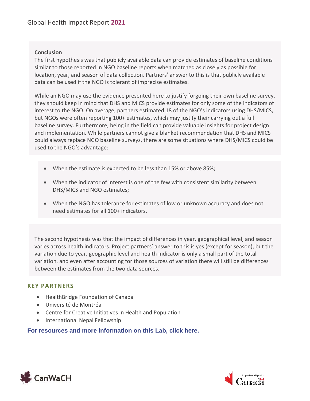#### **Conclusion**

The first hypothesis was that publicly available data can provide estimates of baseline conditions similar to those reported in NGO baseline reports when matched as closely as possible for location, year, and season of data collection. Partners' answer to this is that publicly available data can be used if the NGO is tolerant of imprecise estimates.

While an NGO may use the evidence presented here to justify forgoing their own baseline survey, they should keep in mind that DHS and MICS provide estimates for only some of the indicators of interest to the NGO. On average, partners estimated 18 of the NGO's indicators using DHS/MICS, but NGOs were often reporting 100+ estimates, which may justify their carrying out a full baseline survey. Furthermore, being in the field can provide valuable insights for project design and implementation. While partners cannot give a blanket recommendation that DHS and MICS could always replace NGO baseline surveys, there are some situations where DHS/MICS could be used to the NGO's advantage:

- When the estimate is expected to be less than 15% or above 85%;
- When the indicator of interest is one of the few with consistent similarity between DHS/MICS and NGO estimates;
- When the NGO has tolerance for estimates of low or unknown accuracy and does not need estimates for all 100+ indicators.

The second hypothesis was that the impact of differences in year, geographical level, and season varies across health indicators. Project partners' answer to this is yes (except for season), but the variation due to year, geographic level and health indicator is only a small part of the total variation, and even after accounting for those sources of variation there will still be differences between the estimates from the two data sources.

#### **KEY PARTNERS**

- HealthBridge Foundation of Canada
- Université de Montréal
- Centre for Creative Initiatives in Health and Population
- International Nepal Fellowship

#### **[For resources and more information on this Lab, click here.](https://canwach.ca/initiatives/canadian-collaborative-for-global-health/maximizing-use-existing-data-strengthen-program-design-evaluation-and-impact-lab/)**



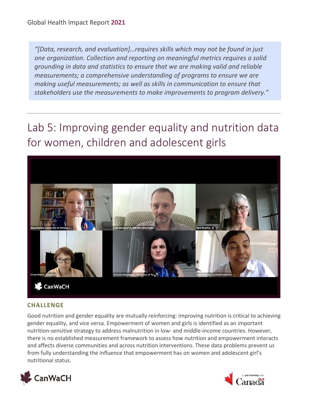*"[Data, research, and evaluation]…requires skills which may not be found in just one organization. Collection and reporting on meaningful metrics requires a solid grounding in data and statistics to ensure that we are making valid and reliable measurements; a comprehensive understanding of programs to ensure we are making useful measurements; as well as skills in communication to ensure that stakeholders use the measurements to make improvements to program delivery."*

### <span id="page-29-0"></span>Lab 5: Improving gender equality and nutrition data for women, children and adolescent girls



#### **CHALLENGE**

Good nutrition and gender equality are mutually reinforcing: improving nutrition is critical to achieving gender equality, and vice versa. Empowerment of women and girls is identified as an important nutrition-sensitive strategy to address malnutrition in low- and middle-income countries. However, there is no established measurement framework to assess how nutrition and empowerment interacts and affects diverse communities and across nutrition interventions. These data problems prevent us from fully understanding the influence that empowerment has on women and adolescent girl's nutritional status.



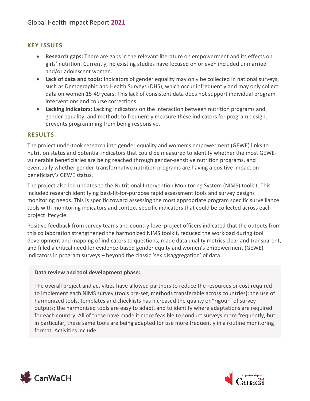#### **KEY ISSUES**

- **Research gaps:** There are gaps in the relevant literature on empowerment and its effects on girls' nutrition. Currently, no existing studies have focused on or even included unmarried and/or adolescent women.
- **Lack of data and tools:** Indicators of gender equality may only be collected in national surveys, such as Demographic and Health Surveys (DHS), which occur infrequently and may only collect data on women 15-49 years. This lack of consistent data does not support individual program interventions and course corrections.
- **Lacking indicators:** Lacking indicators on the interaction between nutrition programs and gender equality, and methods to frequently measure these indicators for program design, prevents programming from being responsive.

#### **RESULTS**

The project undertook research into gender equality and women's empowerment (GEWE) links to nutrition status and potential indicators that could be measured to identify whether the most GEWEvulnerable beneficiaries are being reached through gender-sensitive nutrition programs, and eventually whether gender-transformative nutrition programs are having a positive impact on beneficiary's GEWE status.

The project also led updates to the Nutritional Intervention Monitoring System (NIMS) toolkit. This included research identifying best-fit-for-purpose rapid assessment tools and survey designs monitoring needs. This is specific toward assessing the most appropriate program specific surveillance tools with monitoring indicators and context-specific indicators that could be collected across each project lifecycle.

Positive feedback from survey teams and country-level project officers indicated that the outputs from this collaboration strengthened the harmonized NIMS toolkit, reduced the workload during tool development and mapping of indicators to questions, made data quality metrics clear and transparent, and filled a critical need for evidence-based gender equity and women's empowerment (GEWE) indicators in program surveys – beyond the classic 'sex disaggregation' of data.

#### **Data review and tool development phase:**

The overall project and activities have allowed partners to reduce the resources or cost required to implement each NIMS survey (tools pre-set, methods transferable across countries); the use of harmonized tools, templates and checklists has increased the quality or "rigour" of survey outputs; the harmonized tools are easy to adapt, and to identify where adaptations are required for each country. All of these have made it more feasible to conduct surveys more frequently, but in particular, these same tools are being adapted for use more frequently in a routine monitoring format. Activities include:



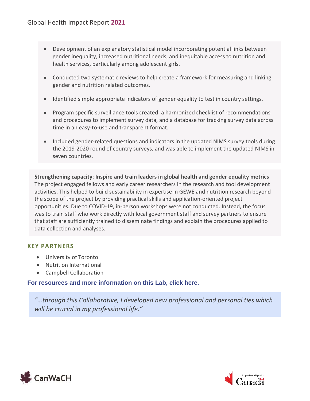- Development of an explanatory statistical model incorporating potential links between gender inequality, increased nutritional needs, and inequitable access to nutrition and health services, particularly among adolescent girls.
- Conducted two systematic reviews to help create a framework for measuring and linking gender and nutrition related outcomes.
- Identified simple appropriate indicators of gender equality to test in country settings.
- Program specific surveillance tools created: a harmonized checklist of recommendations and procedures to implement survey data, and a database for tracking survey data across time in an easy-to-use and transparent format.
- Included gender-related questions and indicators in the updated NIMS survey tools during the 2019-2020 round of country surveys, and was able to implement the updated NIMS in seven countries.

**Strengthening capacity**: **Inspire and train leaders in global health and gender equality metrics** The project engaged fellows and early career researchers in the research and tool development activities. This helped to build sustainability in expertise in GEWE and nutrition research beyond the scope of the project by providing practical skills and application-oriented project opportunities. Due to COVID-19, in-person workshops were not conducted. Instead, the focus was to train staff who work directly with local government staff and survey partners to ensure that staff are sufficiently trained to disseminate findings and explain the procedures applied to data collection and analyses.

#### **KEY PARTNERS**

- University of Toronto
- Nutrition International
- Campbell Collaboration

#### **[For resources and more information on this Lab, click here.](https://canwach.ca/initiatives/canadian-collaborative-for-global-health/improving-gender-equality-and-nutrition-data-women-children-and-adolescent-girls-lab/)**

*"…through this Collaborative, I developed new professional and personal ties which will be crucial in my professional life."*



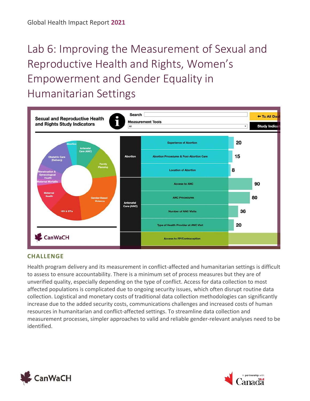# <span id="page-32-0"></span>Lab 6: Improving the Measurement of Sexual and Reproductive Health and Rights, Women's Empowerment and Gender Equality in Humanitarian Settings



#### **CHALLENGE**

Health program delivery and its measurement in conflict-affected and humanitarian settings is difficult to assess to ensure accountability. There is a minimum set of process measures but they are of unverified quality, especially depending on the type of conflict. Access for data collection to most affected populations is complicated due to ongoing security issues, which often disrupt routine data collection. Logistical and monetary costs of traditional data collection methodologies can significantly increase due to the added security costs, communications challenges and increased costs of human resources in humanitarian and conflict-affected settings. To streamline data collection and measurement processes, simpler approaches to valid and reliable gender-relevant analyses need to be identified.



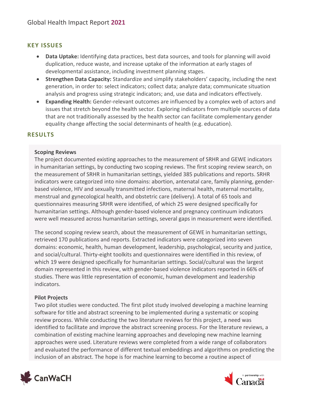#### **KEY ISSUES**

- **Data Uptake:** Identifying data practices, best data sources, and tools for planning will avoid duplication, reduce waste, and increase uptake of the information at early stages of developmental assistance, including investment planning stages.
- **Strengthen Data Capacity:** Standardize and simplify stakeholders' capacity, including the next generation, in order to: select indicators; collect data; analyze data; communicate situation analysis and progress using strategic indicators; and, use data and indicators effectively.
- **Expanding Health:** Gender-relevant outcomes are influenced by a complex web of actors and issues that stretch beyond the health sector. Exploring indicators from multiple sources of data that are not traditionally assessed by the health sector can facilitate complementary gender equality change affecting the social determinants of health (e.g. education).

#### **RESULTS**

#### **Scoping Reviews**

The project documented existing approaches to the measurement of SRHR and GEWE indicators in humanitarian settings, by conducting two scoping reviews. The first scoping review search, on the measurement of SRHR in humanitarian settings, yielded 385 publications and reports. SRHR indicators were categorized into nine domains: abortion, antenatal care, family planning, genderbased violence, HIV and sexually transmitted infections, maternal health, maternal mortality, menstrual and gynecological health, and obstetric care (delivery). A total of 65 tools and questionnaires measuring SRHR were identified, of which 25 were designed specifically for humanitarian settings. Although gender-based violence and pregnancy continuum indicators were well measured across humanitarian settings, several gaps in measurement were identified.

The second scoping review search, about the measurement of GEWE in humanitarian settings, retrieved 170 publications and reports. Extracted indicators were categorized into seven domains: economic, health, human development, leadership, psychological, security and justice, and social/cultural. Thirty-eight toolkits and questionnaires were identified in this review, of which 19 were designed specifically for humanitarian settings. Social/cultural was the largest domain represented in this review, with gender-based violence indicators reported in 66% of studies. There was little representation of economic, human development and leadership indicators.

#### **Pilot Projects**

Two pilot studies were conducted. The first pilot study involved developing a machine learning software for title and abstract screening to be implemented during a systematic or scoping review process. While conducting the two literature reviews for this project, a need was identified to facilitate and improve the abstract screening process. For the literature reviews, a combination of existing machine learning approaches and developing new machine learning approaches were used. Literature reviews were completed from a wide range of collaborators and evaluated the performance of different textual embeddings and algorithms on predicting the inclusion of an abstract. The hope is for machine learning to become a routine aspect of



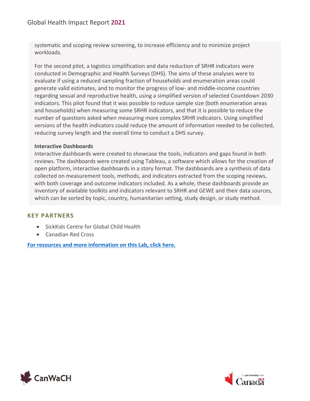systematic and scoping review screening, to increase efficiency and to minimize project workloads.

For the second pilot, a logistics simplification and data reduction of SRHR indicators were conducted in Demographic and Health Surveys (DHS). The aims of these analyses were to evaluate if using a reduced sampling fraction of households and enumeration areas could generate valid estimates, and to monitor the progress of low- and middle-income countries regarding sexual and reproductive health, using a simplified version of selected Countdown 2030 indicators. This pilot found that it was possible to reduce sample size (both enumeration areas and households) when measuring some SRHR indicators, and that it is possible to reduce the number of questions asked when measuring more complex SRHR indicators. Using simplified versions of the health indicators could reduce the amount of information needed to be collected, reducing survey length and the overall time to conduct a DHS survey.

#### **Interactive Dashboards**

Interactive dashboards were created to showcase the tools, indicators and gaps found in both reviews. The dashboards were created using Tableau, a software which allows for the creation of open platform, interactive dashboards in a story format. The dashboards are a synthesis of data collected on measurement tools, methods, and indicators extracted from the scoping reviews, with both coverage and outcome indicators included. As a whole, these dashboards provide an inventory of available toolkits and indicators relevant to SRHR and GEWE and their data sources, which can be sorted by topic, country, humanitarian setting, study design, or study method.

#### **KEY PARTNERS**

- SickKids Centre for Global Child Health
- Canadian Red Cross

**[For resources and more information on this Lab, click here.](https://canwach.ca/initiatives/canadian-collaborative-for-global-health/adolescent-sexual-and-reproductive-health-and-rights-generating-evidence-and-strengthening-country-capacity-lab/)**



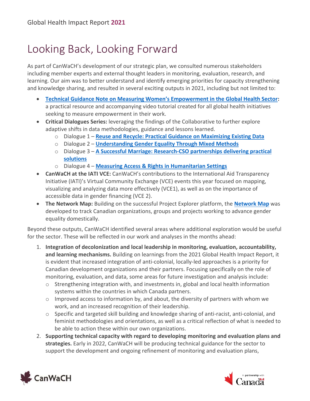# <span id="page-35-0"></span>Looking Back, Looking Forward

As part of CanWaCH's development of our strategic plan, we consulted numerous stakeholders including member experts and external thought leaders in monitoring, evaluation, research, and learning. Our aim was to better understand and identify emerging priorities for capacity strengthening and knowledge sharing, and resulted in several exciting outputs in 2021, including but not limited to:

- **[Technical Guidance Note on Measuring Women's Empowerment in the Global Health Sector](https://u10318183.ct.sendgrid.net/ls/click?upn=Hqo8cV0ZPO9bq-2Bojps0lG-2FIPjk8woe2ztOZnsl4moeLtDXJNCMPdYQ9cJOvkRyPHnNEJ64j1Gbb1nBlrdK1Xhm6XRK1lXGM4AMS0WfRKTJMpVNntTIVk5atbBdVBkXKYAZj8pqzNKqC0Fthzhrfp0RfG29Z7vC8taqkodwl3NJh4MbOFVdDUTHedPE5Mgv7zXgEeN5egn5sc-2FotwE-2Fr6f0mIdz4vBjGRgZLcYECBBMvYfX1uRYB8W0s1BR5QOyiraiOTH1eCUqcnOI0GJl1lR8ZxpFCUlf-2FnfFj3YWqOe2YX7tVpcbuASdMMdSscOSp0IVH86wHMYWtQueNaRaXSJPQa-2FKU-2F3SPs-2BCwDZioXouLAv4RaBAc7lsRqYZy3Lhe2tI30Uw3PKnBi6auQ9xVX-2BywSeMAznl8W177sx20OTw692rAjkDdcqcBeY0cOvYWdoALNJvpe0eBHJ6-2BheNWoututy0Mxjyr1sVPLsgamOhpYxzV9zPw84mBx53eH7rG-2Bolmz-2F-2BP309KLSE299J7megfmH07zhWgsRRB8wD-2B8zObNwzXxapuf5htWdn37W7qGpZa5EH8JK9i4mdSXwj57TV44x7JKhPBhGzOXLRE6UBFP-2FLo-2F5LVejSpLEkcEG6svILgsFoyKbFFATRUBcwutVN1u2cXLZzaSPeYgPM3qSKoi75HQSVcOxydoj-2FYg4NRlml-c_u0BB3ZnfXoCCTZ2OWgOTzgMnK6JtdDVUmABENl6K2hkWHW7BQ6qYssxZqxmcau7ZBLIauFogmSW33se1FCHU-2BfMIyDG6MCwfXjGN5wDG-2FWmKAmqn1-2F5LuWJ2lcYFShZIkWEbkXjoIYQudDJAdTIxwmkGx9QWFshZ5pVkwqxvhzb6BNKaXLU0Bx2TdVA7D6qGStG4V3QpVmRd-2BXggYC-2F356PDcB4OxaAA9nTL72PuUieUCOgvTUbucRGs9C56f2ZTViKzmSUseCRb2Jo6xI6-2F1nBS57bcq9BLaswJ1i9OIshsU3W3WVc-2BRSQN9A3VqQPjhnYuRY6cjSwLTbXmpupZoWsHwWY7dnzaCFvsHkFXOnjZs8FeDWbYeaiP4dfq60-2B5):**  a practical resource and accompanying video tutorial created for all global health initiatives seeking to measure empowerment in their work.
- **Critical Dialogues Series:** leveraging the findings of the Collaborative to further explore adaptive shifts in data methodologies, guidance and lessons learned.
	- o Dialogue 1 **[Reuse and Recycle: Practical Guidance on Maximizing Existing Data](https://u10318183.ct.sendgrid.net/ls/click?upn=Hqo8cV0ZPO9bq-2Bojps0lG-2FIPjk8woe2ztOZnsl4moeLtDXJNCMPdYQ9cJOvkRyPHnNEJ64j1Gbb1nBlrdK1XhuG0ENk2L-2FARy1iPihwdKr930LWAEIVED8wXU8B49ZlAI5YmM-2Fv56c88Mmyqh38HYoDxzM5mqFzzk3Jag-2FNO89CxJm3foXf46zo9QUMe6UuwlLLkuItqDQ9uCD8LUigVTFMvcb9qJ4bbyAzvCnUtda4nAvBMyhwGg8OeF5C15b7bNQj0eE5JKkhzUX0UYu4EMgZUN1G-2B7HRBZva0VYgFzKAevdv5e9TvyowfZHnlEdyL4HXh9p0vOj-2FvJjPQN8HC-2B7sP-2BwceNW-2F-2FHr-2B5yE9rgL7Dg0pFkccytfMAlReNWkmB5J3fWnvO28Dd91FRuXPEvCARovYZf785-2FdklKGcgykIz4fR8zUjcIxUT-2FqXiWVjlXRJUd-2Bbc1GqmeLS56ZkGp7RA9omaHkMaeklzYpnADl5upwBUDAXm-2FTS5q76QdPCFVlNKhbsynVHmbB0rb7dPa9pHl4ItlifdFVVeh-2BZvj6wWV-2FHm5b7D08a83p1mQM5hXXnAA4QAfjfJHHgbibmtMbDoiMDqxZJiMVXR-2Ft3vB0WffOvhuxqUclavRDX01QmzLp_D_u0BB3ZnfXoCCTZ2OWgOTzgMnK6JtdDVUmABENl6K2hkWHW7BQ6qYssxZqxmcau7ZBLIauFogmSW33se1FCHU-2BfMIyDG6MCwfXjGN5wDG-2FWmKAmqn1-2F5LuWJ2lcYFShZIkWEbkXjoIYQudDJAdTIxwmkGx9QWFshZ5pVkwqxvhzb6BNKaXLU0Bx2TdVA7D6qGStG4V3QpVmRd-2BXggYC-2F356PDcB4OxaAA9nTL72PuUievSm8dN8wygPbeKkA1gI2GghIATzdgh9lTiWjzaNgfyfg4aOBP3uy5-2BsXXXZYksiUa9RCLMLhzUqLcpdwdnCCSsH2uiv1ImD0ULjB2Oojh5KITHgJ75AI2wYYT0UMHlFqqyL-2BI18-2Fdc1wN36t0u1xO)**
	- o Dialogue 2 **[Understanding Gender Equality Through Mixed Methods](https://u10318183.ct.sendgrid.net/ls/click?upn=Hqo8cV0ZPO9bq-2Bojps0lG-2FIPjk8woe2ztOZnsl4moeLtDXJNCMPdYQ9cJOvkRyPHnNEJ64j1Gbb1nBlrdK1XhhrRAWjDOc7tENKU3BDjdolBfYpAd5mvWx4KZw73D32IWtG0-2FvsKMaBA6UJzlx49k9nfwRy5DtPvOIyjPtrNuotRFGMHx0-2FQMgjf9Ajikt-2FAWWgKtTUR2CWxdOR-2FMy6nn-2Bca1KOHVqm-2Fjh60LReuxbB6tfTQsKHk8SFuhGlFQvW5g-2FrS0o8UqXS3khdOgfOBtXnPwyR4RSsgKMUqzevwKuKCuEeVbqDrcmXiBf2YQWAMMypveD0Po5-2FQPH-2BbMUtPsJmbLH188x9WH-2F4yM39fpEOlHbOlxsNNAOajjKwwhSMSYGVe87AXFo9Uwzdzc3OSXx20ge819ZmVYJHbuUcVh-2F-2FB4x89CKxEJMoPdxIJAEuoSLByOrM0y0TtCu9XUDVmuWVpdy3TtCPXohV3XOcPOOwpF9KycWW1-2FNtI2spOyNT7DH0dF-2FREVtT0mNPVZTLqa2Ckidkdf72i3tYZLisX-2F4LiqNdr3K7QDU-2BZnOEb6bJBRY2-_u0BB3ZnfXoCCTZ2OWgOTzgMnK6JtdDVUmABENl6K2hkWHW7BQ6qYssxZqxmcau7ZBLIauFogmSW33se1FCHU-2BfMIyDG6MCwfXjGN5wDG-2FWmKAmqn1-2F5LuWJ2lcYFShZIkWEbkXjoIYQudDJAdTIxwmkGx9QWFshZ5pVkwqxvhzb6BNKaXLU0Bx2TdVA7D6qGStG4V3QpVmRd-2BXggYC-2F356PDcB4OxaAA9nTL72PuUicFBFgS7kz-2F4BCJwnBeMD-2FcvV3C-2F52y7o9jsouR6jSO8z0P-2FLkVFrSa2PSY78dhPo4Tx2l-2FCnWkYOIJRvBbvwtLoselDlNPy4OFl1LeKbqGb-2BJIcPaaPE8hNm5C6uEH-2FA0Sf3u2NOhT9fgUKQPpJ-2F6o)**
	- o Dialogue 3 **[A Successful Marriage: Research-CSO partnerships delivering practical](https://u10318183.ct.sendgrid.net/ls/click?upn=Hqo8cV0ZPO9bq-2Bojps0lG-2FIPjk8woe2ztOZnsl4moeLtDXJNCMPdYQ9cJOvkRyPHnNEJ64j1Gbb1nBlrdK1XhsB0xcvM9q2NIymiKgtiQeDYtCSfhAWoFaQCSK8pG1kk2Ilh-2BwuYwI4J6fIsQMsXJzZ8XzJUBbFEhsITQDxf5LSlXRWaRqQyxWJQNV4Q5yisuguOosr13yBXlfffFJrnh35ow0pomFNH9ATmAOO-2BfU8nTpmc1a65s-2FPwnQt13obLt5wm5ItjLTp-2FRJcBRzoohW30Mhfe4fi6nFOFRpZthBOCeIe8VEheG-2FY226vdg9xzx9aWc6WZFaoR-2FstajqydHRt4GM4aq2aAsZTxuP9d54keZ0ycc1KqIeyP3jX4rS1w3MLn2pjkqM-2BGncMiFCJENW5chBuwRvGHGQaV7qhuYnx4NglaWU50ZfJRycTSTMGGptVcR-2Bs5yTOkEJ912G8Q4f3lCOeKgw4CME-2FQCogEfuOT3JAhaG4qRm-2F8mggtpKgTNLNNzrWifqyS3C5Hb1QejTQjc706b-2FV8Xr2tke3KCS-2FHLy7H5JpXnTg0u07rdI58bzhA8lK0YjqEJhA3Ty2w7O-2FcE9K2Z2gJ9PfRBEq27A7nS50qNASPOp0up7YZXPC-2Fk5URgItz5tISOoznJRymYPb-2Btika-2BJPOyu7mm6RergM-3D3l2c_u0BB3ZnfXoCCTZ2OWgOTzgMnK6JtdDVUmABENl6K2hkWHW7BQ6qYssxZqxmcau7ZBLIauFogmSW33se1FCHU-2BfMIyDG6MCwfXjGN5wDG-2FWmKAmqn1-2F5LuWJ2lcYFShZIkWEbkXjoIYQudDJAdTIxwmkGx9QWFshZ5pVkwqxvhzb6BNKaXLU0Bx2TdVA7D6qGStG4V3QpVmRd-2BXggYC-2F356PDcB4OxaAA9nTL72PuUiftArnFstSJW2vlGBNqR6XXkx7kXMM4fQ5RZHjLAnQSGlM06u1QC9qnPHxqEz7dfuM5nPQoBqdGSfZc2BbY2S1pGehqTRwrwnTcnA4Oc4tjYuJatshZncTgx6olzJzetJR-2ByDx77f5yWqPiYqSU1zN3)  [solutions](https://u10318183.ct.sendgrid.net/ls/click?upn=Hqo8cV0ZPO9bq-2Bojps0lG-2FIPjk8woe2ztOZnsl4moeLtDXJNCMPdYQ9cJOvkRyPHnNEJ64j1Gbb1nBlrdK1XhsB0xcvM9q2NIymiKgtiQeDYtCSfhAWoFaQCSK8pG1kk2Ilh-2BwuYwI4J6fIsQMsXJzZ8XzJUBbFEhsITQDxf5LSlXRWaRqQyxWJQNV4Q5yisuguOosr13yBXlfffFJrnh35ow0pomFNH9ATmAOO-2BfU8nTpmc1a65s-2FPwnQt13obLt5wm5ItjLTp-2FRJcBRzoohW30Mhfe4fi6nFOFRpZthBOCeIe8VEheG-2FY226vdg9xzx9aWc6WZFaoR-2FstajqydHRt4GM4aq2aAsZTxuP9d54keZ0ycc1KqIeyP3jX4rS1w3MLn2pjkqM-2BGncMiFCJENW5chBuwRvGHGQaV7qhuYnx4NglaWU50ZfJRycTSTMGGptVcR-2Bs5yTOkEJ912G8Q4f3lCOeKgw4CME-2FQCogEfuOT3JAhaG4qRm-2F8mggtpKgTNLNNzrWifqyS3C5Hb1QejTQjc706b-2FV8Xr2tke3KCS-2FHLy7H5JpXnTg0u07rdI58bzhA8lK0YjqEJhA3Ty2w7O-2FcE9K2Z2gJ9PfRBEq27A7nS50qNASPOp0up7YZXPC-2Fk5URgItz5tISOoznJRymYPb-2Btika-2BJPOyu7mm6RergM-3D3l2c_u0BB3ZnfXoCCTZ2OWgOTzgMnK6JtdDVUmABENl6K2hkWHW7BQ6qYssxZqxmcau7ZBLIauFogmSW33se1FCHU-2BfMIyDG6MCwfXjGN5wDG-2FWmKAmqn1-2F5LuWJ2lcYFShZIkWEbkXjoIYQudDJAdTIxwmkGx9QWFshZ5pVkwqxvhzb6BNKaXLU0Bx2TdVA7D6qGStG4V3QpVmRd-2BXggYC-2F356PDcB4OxaAA9nTL72PuUiftArnFstSJW2vlGBNqR6XXkx7kXMM4fQ5RZHjLAnQSGlM06u1QC9qnPHxqEz7dfuM5nPQoBqdGSfZc2BbY2S1pGehqTRwrwnTcnA4Oc4tjYuJatshZncTgx6olzJzetJR-2ByDx77f5yWqPiYqSU1zN3)**
	- o Dialogue 4 **[Measuring Access & Rights in Humanitarian Settings](https://u10318183.ct.sendgrid.net/ls/click?upn=Hqo8cV0ZPO9bq-2Bojps0lG-2FIPjk8woe2ztOZnsl4moeLtDXJNCMPdYQ9cJOvkRyPHnNEJ64j1Gbb1nBlrdK1XhnPdYpshmZ5ooGswPViAP41HsVLscDwKFqBoljH-2Fl1AC4XV9Sjh-2Bo6fYHsxbR-2Fd0tFSOv5OQrb1-2Fe-2FkBx4OzR9QAX-2BrNYJbJYZZ-2Fh-2F3TdX7EcvMGRGuZ-2FjYOe6gUBgPk1C17lIBCHmj75dhs8bM0GiugXsocoI8qMQalS-2FnZlf5QOCUqnf-2BO7-2F7nKtZU4XGk-2B6zFStHPmFgk-2BfczO1CILlmZN07Rxl-2BmfJSgei-2FLHXV8-2FRn8J5vNrdOrbxBGp-2FeB9rxvTn3FU-2FFABMR0MNX4KntAtLZ2S4YwtqPDlCZrihHuQiG6EUNs3npP0KTIvHogJIBexVFexba0Do06yfV-2FUtxn-2BIJRNelpbPSYOpUIPuSBu-2F4atZjXd5zfzPX-2Bn4K23jCV8C9-2B5TE2BKChc-2FS126yYeExBJwWlM5xJUxX7HnUNVY-2FBzBi5wqIg23sXdOwSjtOOuiFDKj2gJPiRC0-2FWoMqrhLoI4TOmZvORWsWDUGcoCQLR_u0BB3ZnfXoCCTZ2OWgOTzgMnK6JtdDVUmABENl6K2hkWHW7BQ6qYssxZqxmcau7ZBLIauFogmSW33se1FCHU-2BfMIyDG6MCwfXjGN5wDG-2FWmKAmqn1-2F5LuWJ2lcYFShZIkWEbkXjoIYQudDJAdTIxwmkGx9QWFshZ5pVkwqxvhzb6BNKaXLU0Bx2TdVA7D6qGStG4V3QpVmRd-2BXggYC-2F356PDcB4OxaAA9nTL72PuUieHcK-2FBkFicMFUfYeyLISghDRXLksKfMdl6WUB4wRU6KpVqgy7Cewv4ovIbqCNKbk6MvCln1MHoYHTTiKVGDtonyLRyPM7EnEvGV-2BKFnppKDElnMNCeCgMbASuW7K-2B8SRlC9-2BxIOmTk3IJM3OM5nFQW)**
- **CanWaCH at the IATI VCE:** CanWaCH's contributions to the International Aid Transparency Initiative (IATI)'s Virtual Community Exchange (VCE) events this year focused on mapping, visualizing and analyzing data more effectively (VCE1), as well as on the importance of accessible data in gender financing (VCE 2).
- **The Network Map:** Building on the successful Project Explorer platform, the **[Network Map](https://u10318183.ct.sendgrid.net/ls/click?upn=Hqo8cV0ZPO9bq-2Bojps0lG-2FIPjk8woe2ztOZnsl4moeLtDXJNCMPdYQ9cJOvkRyPHN2VwQniSMg1WzmrFkxQD8p548l6YTIZpuflaPYfDk2-2FWY1WfcViuGQfdyHAKzm1A04rCfXWsIOGgvQl46i6GEgX6f3OXiV7WUsGCzIcM2N7J9vIMyiizuM2AyRVnPgVCJZouelvVbYYDgGe5oZFMvco4WMC-2BoCW52Wr9HU69F-2BqdRHIGbFiQZRBCszD-2BPCz78G3UOwrmUQEKFRnfRbgaDwDEnNHJRPxqOGb2goDVkJIrQyr5kHh07ZvghRSTzS8PBszz7F5m3jBFD-2Btu-2BG41CM6WNbygvkzWOEzpfwallg7Dexzw9eN-2B45UG-2FKTREaBi0gWrGEOc2BULPOUNqkbSqA-3D-3DY10C_u0BB3ZnfXoCCTZ2OWgOTzgMnK6JtdDVUmABENl6K2hkWHW7BQ6qYssxZqxmcau7ZBLIauFogmSW33se1FCHU-2BfMIyDG6MCwfXjGN5wDG-2FWmKAmqn1-2F5LuWJ2lcYFShZIkWEbkXjoIYQudDJAdTIxwmkGx9QWFshZ5pVkwqxvhzb6BNKaXLU0Bx2TdVA7D6qGStG4V3QpVmRd-2BXggYC-2F356PDcB4OxaAA9nTL72PuUieJYmSwsUr-2BZNK8Y3Hind8Ypy92YuMD5249M8xKCbbJxpaL-2FMR3pbypTJAxGBAOsvlLXqXHp1KW-2BRjj143c9xvC2AtVbuKKXFhjuGH8SxaUr302nKLlA9IihG0M9XjlcT-2F1yQ-2BlKNMRYkSU6Ebnq45P)** was developed to track Canadian organizations, groups and projects working to advance gender equality domestically.

Beyond these outputs, CanWaCH identified several areas where additional exploration would be useful for the sector. These will be reflected in our work and analyses in the months ahead:

- 1. **Integration of decolonization and local leadership in monitoring, evaluation, accountability, and learning mechanisms.** Building on learnings from the 2021 Global Health Impact Report, it is evident that increased integration of anti-colonial, locally-led approaches is a priority for Canadian development organizations and their partners. Focusing specifically on the role of monitoring, evaluation, and data, some areas for future investigation and analysis include:
	- o Strengthening integration with, and investments in, global and local health information systems within the countries in which Canada partners.
	- o Improved access to information by, and about, the diversity of partners with whom we work, and an increased recognition of their leadership.
	- $\circ$  Specific and targeted skill building and knowledge sharing of anti-racist, anti-colonial, and feminist methodologies and orientations, as well as a critical reflection of what is needed to be able to action these within our own organizations.
- 2. **Supporting technical capacity with regard to developing monitoring and evaluation plans and strategies.** Early in 2022, CanWaCH will be producing technical guidance for the sector to support the development and ongoing refinement of monitoring and evaluation plans,